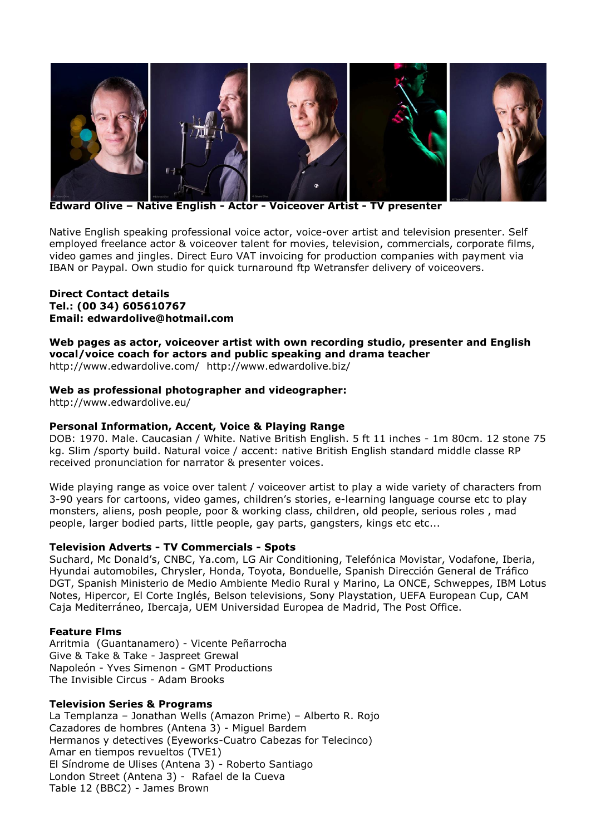

**Edward Olive – Native English - Actor - Voiceover Artist - TV presenter**

Native English speaking professional voice actor, voice-over artist and television presenter. Self employed freelance actor & voiceover talent for movies, television, commercials, corporate films, video games and jingles. Direct Euro VAT invoicing for production companies with payment via IBAN or Paypal. Own studio for quick turnaround ftp Wetransfer delivery of voiceovers.

### **Direct Contact details Tel.: [\(00 34\) 605610767](tel:605610767) Email: [edwardolive@hotmail.com](mailto:edwardolive@hotmail.com)**

# **Web pages as actor, voiceover artist with own recording studio, presenter and English vocal/voice coach for actors and public speaking and drama teacher**

<http://www.edwardolive.com/> <http://www.edwardolive.biz/>

# **Web as professional photographer and videographer:**

<http://www.edwardolive.eu/>

### **Personal Information, Accent, Voice & Playing Range**

DOB: 1970. Male. Caucasian / White. Native British English. 5 ft 11 inches - 1m 80cm. 12 stone 75 kg. Slim /sporty build. Natural voice / accent: native British English standard middle classe RP received pronunciation for narrator & presenter voices.

Wide playing range as voice over talent / voiceover artist to play a wide variety of characters from 3-90 years for cartoons, video games, children's stories, e-learning language course etc to play monsters, aliens, posh people, poor & working class, children, old people, serious roles , mad people, larger bodied parts, little people, gay parts, gangsters, kings etc etc...

### **Television Adverts - TV Commercials - Spots**

Suchard, Mc Donald's, CNBC, Ya.com, LG Air Conditioning, Telefónica Movistar, Vodafone, Iberia, Hyundai automobiles, Chrysler, Honda, Toyota, Bonduelle, Spanish Dirección General de Tráfico DGT, Spanish Ministerio de Medio Ambiente Medio Rural y Marino, La ONCE, Schweppes, IBM Lotus Notes, Hipercor, El Corte Inglés, Belson televisions, Sony Playstation, UEFA European Cup, CAM Caja Mediterráneo, Ibercaja, UEM Universidad Europea de Madrid, The Post Office.

### **Feature Flms**

Arritmia (Guantanamero) - Vicente Peñarrocha Give & Take & Take - Jaspreet Grewal Napoleón - Yves Simenon - GMT Productions The Invisible Circus - Adam Brooks

### **Television Series & Programs**

La Templanza – Jonathan Wells (Amazon Prime) – Alberto R. Rojo Cazadores de hombres (Antena 3) - Miguel Bardem Hermanos y detectives (Eyeworks-Cuatro Cabezas for Telecinco) Amar en tiempos revueltos (TVE1) El Síndrome de Ulises (Antena 3) - Roberto Santiago London Street (Antena 3) - Rafael de la Cueva Table 12 (BBC2) - James Brown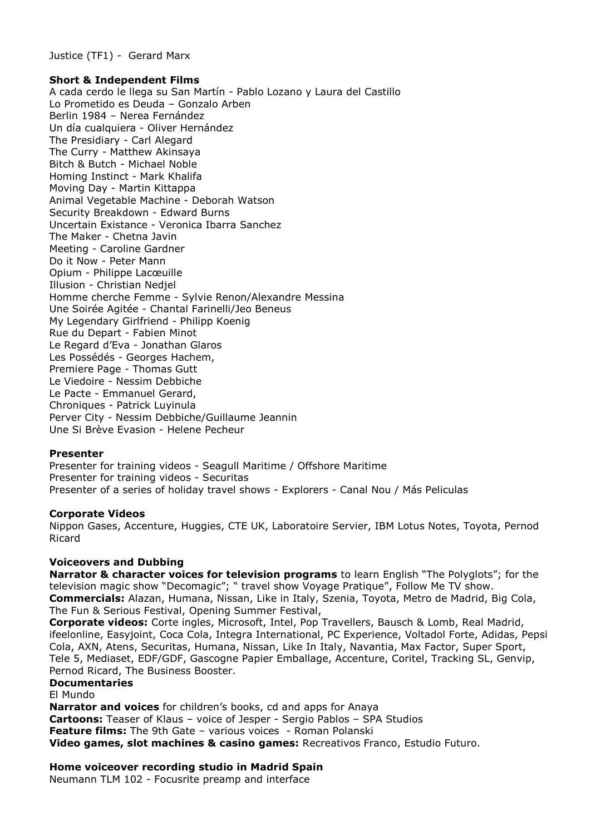Justice (TF1) - Gerard Marx

### **Short & Independent Films**

A cada cerdo le llega su San Martín - Pablo Lozano y Laura del Castillo Lo Prometido es Deuda – Gonzalo Arben Berlin 1984 – Nerea Fernández Un día cualquiera - Oliver Hernández The Presidiary - Carl Alegard The Curry - Matthew Akinsaya Bitch & Butch - Michael Noble Homing Instinct - Mark Khalifa Moving Day - Martin Kittappa Animal Vegetable Machine - Deborah Watson Security Breakdown - Edward Burns Uncertain Existance - Veronica Ibarra Sanchez The Maker - Chetna Javin Meeting - Caroline Gardner Do it Now - Peter Mann Opium - Philippe Lacœuille Illusion - Christian Nedjel Homme cherche Femme - Sylvie Renon/Alexandre Messina Une Soirée Agitée - Chantal Farinelli/Jeo Beneus My Legendary Girlfriend - Philipp Koenig Rue du Depart - Fabien Minot Le Regard d'Eva - Jonathan Glaros Les Possédés - Georges Hachem, Premiere Page - Thomas Gutt Le Viedoire - Nessim Debbiche Le Pacte - Emmanuel Gerard, Chroniques - Patrick Luyinula Perver City - Nessim Debbiche/Guillaume Jeannin Une Si Brève Evasion - Helene Pecheur

### **Presenter**

Presenter for training videos - Seagull Maritime / Offshore Maritime Presenter for training videos - Securitas Presenter of a series of holiday travel shows - Explorers - Canal Nou / Más Peliculas

#### **Corporate Videos**

Nippon Gases, Accenture, Huggies, CTE UK, Laboratoire Servier, IBM Lotus Notes, Toyota, Pernod Ricard

#### **Voiceovers and Dubbing**

**Narrator & character voices for television programs** to learn English "The Polyglots"; for the television magic show "Decomagic"; " travel show Voyage Pratique", Follow Me TV show. **Commercials:** Alazan, Humana, Nissan, Like in Italy, Szenia, Toyota, Metro de Madrid, Big Cola, The Fun & Serious Festival, Opening Summer Festival,

**Corporate videos:** Corte ingles, Microsoft, Intel, Pop Travellers, Bausch & Lomb, Real Madrid, ifeelonline, Easyjoint, Coca Cola, Integra International, PC Experience, Voltadol Forte, Adidas, Pepsi Cola, AXN, Atens, Securitas, Humana, Nissan, Like In Italy, Navantia, Max Factor, Super Sport, Tele 5, Mediaset, EDF/GDF, Gascogne Papier Emballage, Accenture, Coritel, Tracking SL, Genvip, Pernod Ricard, The Business Booster.

# **Documentaries**

El Mundo

**Narrator and voices** for children's books, cd and apps for Anaya **Cartoons:** Teaser of Klaus – voice of Jesper - Sergio Pablos – SPA Studios **Feature films:** The 9th Gate – various voices - Roman Polanski **Video games, slot machines & casino games:** Recreativos Franco, Estudio Futuro.

## **Home voiceover recording studio in Madrid Spain**

Neumann TLM 102 - Focusrite preamp and interface